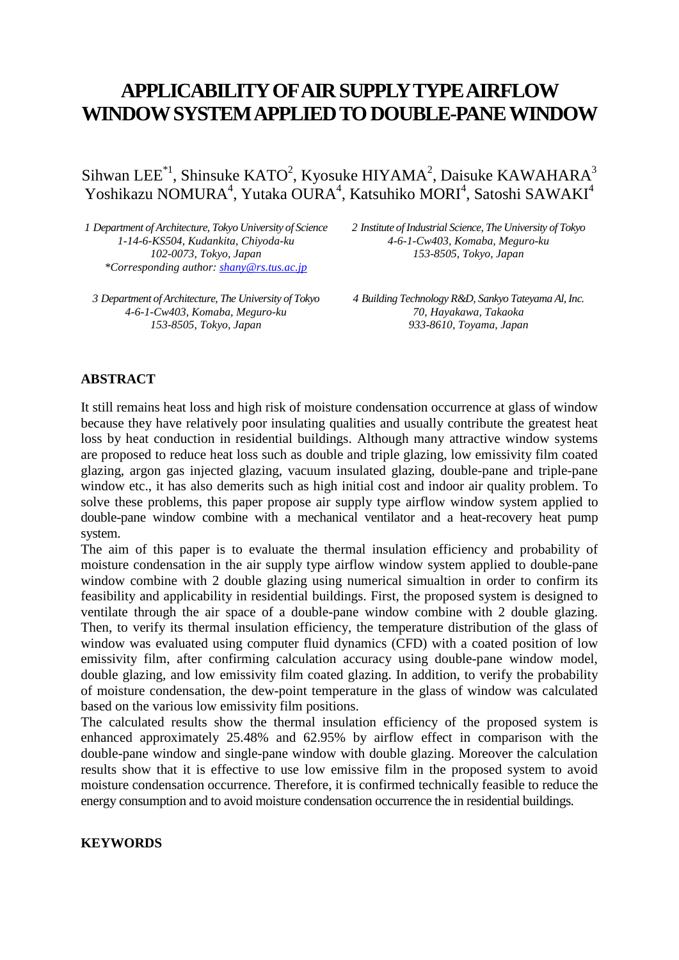# **APPLICABILITY OF AIRSUPPLY TYPE AIRFLOW WINDOW SYSTEM APPLIED TO DOUBLE-PANE WINDOW**

Sihwan LEE<sup>\*1</sup>, Shinsuke KATO<sup>2</sup>, Kyosuke HIYAMA<sup>2</sup>, Daisuke KAWAHARA<sup>3</sup> Yoshikazu NOMURA<sup>4</sup>, Yutaka OURA<sup>4</sup>, Katsuhiko MORI<sup>4</sup>, Satoshi SAWAKI<sup>4</sup>

*1 Department of Architecture, Tokyo University of Science 1-14-6-KS504, Kudankita, Chiyoda-ku 102-0073, Tokyo, Japan \*Corresponding author[: shany@rs.tus.ac.jp](mailto:shany@rs.tus.ac.jp)*

*3 Department of Architecture, The University of Tokyo 4-6-1-Cw403, Komaba, Meguro-ku 153-8505, Tokyo, Japan*

*2 Institute of Industrial Science, The University of Tokyo 4-6-1-Cw403, Komaba, Meguro-ku 153-8505, Tokyo, Japan*

*4 Building Technology R&D, Sankyo Tateyama Al, Inc. 70, Hayakawa, Takaoka 933-8610, Toyama, Japan*

#### **ABSTRACT**

It still remains heat loss and high risk of moisture condensation occurrence at glass of window because they have relatively poor insulating qualities and usually contribute the greatest heat loss by heat conduction in residential buildings. Although many attractive window systems are proposed to reduce heat loss such as double and triple glazing, low emissivity film coated glazing, argon gas injected glazing, vacuum insulated glazing, double-pane and triple-pane window etc., it has also demerits such as high initial cost and indoor air quality problem. To solve these problems, this paper propose air supply type airflow window system applied to double-pane window combine with a mechanical ventilator and a heat-recovery heat pump system.

The aim of this paper is to evaluate the thermal insulation efficiency and probability of moisture condensation in the air supply type airflow window system applied to double-pane window combine with 2 double glazing using numerical simualtion in order to confirm its feasibility and applicability in residential buildings. First, the proposed system is designed to ventilate through the air space of a double-pane window combine with 2 double glazing. Then, to verify its thermal insulation efficiency, the temperature distribution of the glass of window was evaluated using computer fluid dynamics (CFD) with a coated position of low emissivity film, after confirming calculation accuracy using double-pane window model, double glazing, and low emissivity film coated glazing. In addition, to verify the probability of moisture condensation, the dew-point temperature in the glass of window was calculated based on the various low emissivity film positions.

The calculated results show the thermal insulation efficiency of the proposed system is enhanced approximately 25.48% and 62.95% by airflow effect in comparison with the double-pane window and single-pane window with double glazing. Moreover the calculation results show that it is effective to use low emissive film in the proposed system to avoid moisture condensation occurrence. Therefore, it is confirmed technically feasible to reduce the energy consumption and to avoid moisture condensation occurrence the in residential buildings.

#### **KEYWORDS**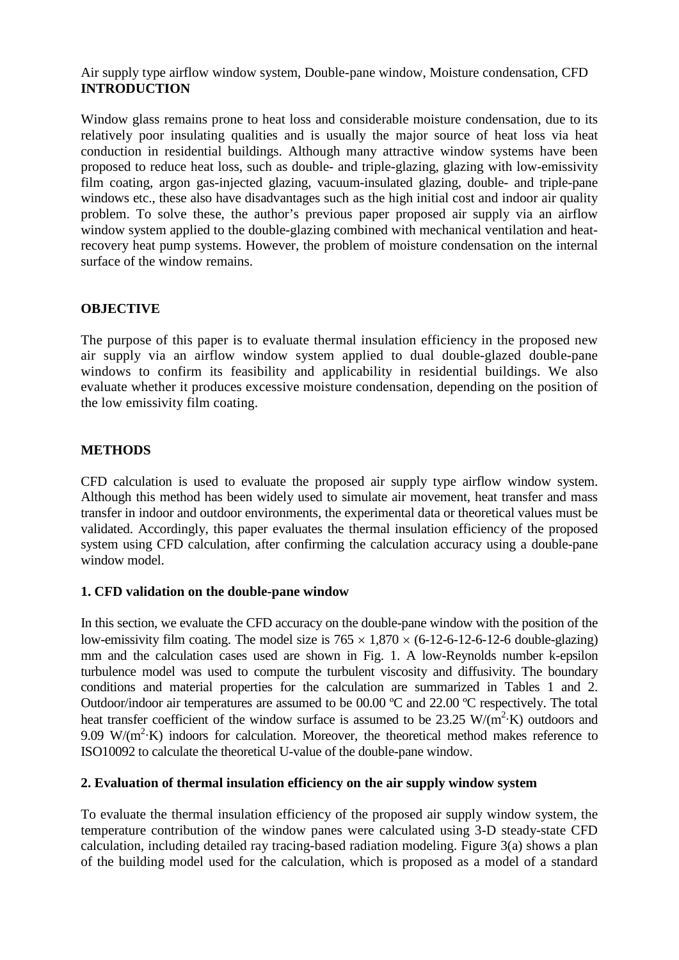Air supply type airflow window system, Double-pane window, Moisture condensation, CFD **INTRODUCTION**

Window glass remains prone to heat loss and considerable moisture condensation, due to its relatively poor insulating qualities and is usually the major source of heat loss via heat conduction in residential buildings. Although many attractive window systems have been proposed to reduce heat loss, such as double- and triple-glazing, glazing with low-emissivity film coating, argon gas-injected glazing, vacuum-insulated glazing, double- and triple-pane windows etc., these also have disadvantages such as the high initial cost and indoor air quality problem. To solve these, the author's previous paper proposed air supply via an airflow window system applied to the double-glazing combined with mechanical ventilation and heatrecovery heat pump systems. However, the problem of moisture condensation on the internal surface of the window remains.

## **OBJECTIVE**

The purpose of this paper is to evaluate thermal insulation efficiency in the proposed new air supply via an airflow window system applied to dual double-glazed double-pane windows to confirm its feasibility and applicability in residential buildings. We also evaluate whether it produces excessive moisture condensation, depending on the position of the low emissivity film coating.

# **METHODS**

CFD calculation is used to evaluate the proposed air supply type airflow window system. Although this method has been widely used to simulate air movement, heat transfer and mass transfer in indoor and outdoor environments, the experimental data or theoretical values must be validated. Accordingly, this paper evaluates the thermal insulation efficiency of the proposed system using CFD calculation, after confirming the calculation accuracy using a double-pane window model.

#### **1. CFD validation on the double-pane window**

In this section, we evaluate the CFD accuracy on the double-pane window with the position of the low-emissivity film coating. The model size is  $765 \times 1,870 \times (6-12-6-12-6)$  double-glazing) mm and the calculation cases used are shown in Fig. 1. A low-Reynolds number k-epsilon turbulence model was used to compute the turbulent viscosity and diffusivity. The boundary conditions and material properties for the calculation are summarized in Tables 1 and 2. Outdoor/indoor air temperatures are assumed to be 00.00 ºC and 22.00 ºC respectively. The total heat transfer coefficient of the window surface is assumed to be 23.25 W/( $m^2$ ·K) outdoors and 9.09 W/ $(m^2 K)$  indoors for calculation. Moreover, the theoretical method makes reference to ISO10092 to calculate the theoretical U-value of the double-pane window.

# **2. Evaluation of thermal insulation efficiency on the air supply window system**

To evaluate the thermal insulation efficiency of the proposed air supply window system, the temperature contribution of the window panes were calculated using 3-D steady-state CFD calculation, including detailed ray tracing-based radiation modeling. Figure 3(a) shows a plan of the building model used for the calculation, which is proposed as a model of a standard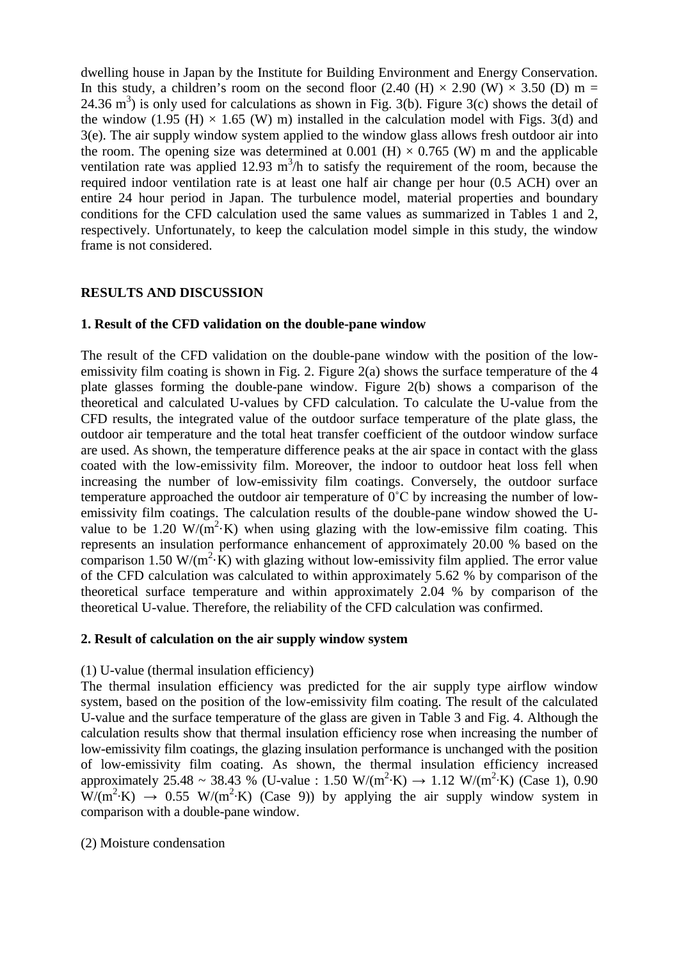dwelling house in Japan by the Institute for Building Environment and Energy Conservation. In this study, a children's room on the second floor (2.40 (H)  $\times$  2.90 (W)  $\times$  3.50 (D) m = 24.36 m<sup>3</sup>) is only used for calculations as shown in Fig. 3(b). Figure 3(c) shows the detail of the window (1.95 (H)  $\times$  1.65 (W) m) installed in the calculation model with Figs. 3(d) and 3(e). The air supply window system applied to the window glass allows fresh outdoor air into the room. The opening size was determined at  $0.001$  (H)  $\times$  0.765 (W) m and the applicable ventilation rate was applied 12.93  $m^3/h$  to satisfy the requirement of the room, because the required indoor ventilation rate is at least one half air change per hour (0.5 ACH) over an entire 24 hour period in Japan. The turbulence model, material properties and boundary conditions for the CFD calculation used the same values as summarized in Tables 1 and 2, respectively. Unfortunately, to keep the calculation model simple in this study, the window frame is not considered.

# **RESULTS AND DISCUSSION**

## **1. Result of the CFD validation on the double-pane window**

The result of the CFD validation on the double-pane window with the position of the lowemissivity film coating is shown in Fig. 2. Figure 2(a) shows the surface temperature of the 4 plate glasses forming the double-pane window. Figure 2(b) shows a comparison of the theoretical and calculated U-values by CFD calculation. To calculate the U-value from the CFD results, the integrated value of the outdoor surface temperature of the plate glass, the outdoor air temperature and the total heat transfer coefficient of the outdoor window surface are used. As shown, the temperature difference peaks at the air space in contact with the glass coated with the low-emissivity film. Moreover, the indoor to outdoor heat loss fell when increasing the number of low-emissivity film coatings. Conversely, the outdoor surface temperature approached the outdoor air temperature of 0˚C by increasing the number of lowemissivity film coatings. The calculation results of the double-pane window showed the Uvalue to be 1.20  $W/(m^2)$ . When using glazing with the low-emissive film coating. This represents an insulation performance enhancement of approximately 20.00 % based on the comparison 1.50 W/ $(m^2 K)$  with glazing without low-emissivity film applied. The error value of the CFD calculation was calculated to within approximately 5.62 % by comparison of the theoretical surface temperature and within approximately 2.04 % by comparison of the theoretical U-value. Therefore, the reliability of the CFD calculation was confirmed.

#### **2. Result of calculation on the air supply window system**

#### (1) U-value (thermal insulation efficiency)

The thermal insulation efficiency was predicted for the air supply type airflow window system, based on the position of the low-emissivity film coating. The result of the calculated U-value and the surface temperature of the glass are given in Table 3 and Fig. 4. Although the calculation results show that thermal insulation efficiency rose when increasing the number of low-emissivity film coatings, the glazing insulation performance is unchanged with the position of low-emissivity film coating. As shown, the thermal insulation efficiency increased approximately 25.48 ~ 38.43 % (U-value : 1.50 W/(m<sup>2</sup>·K)  $\rightarrow$  1.12 W/(m<sup>2</sup>·K) (Case 1), 0.90  $W/(m^2 K) \rightarrow 0.55 W/(m^2 K)$  (Case 9)) by applying the air supply window system in comparison with a double-pane window.

(2) Moisture condensation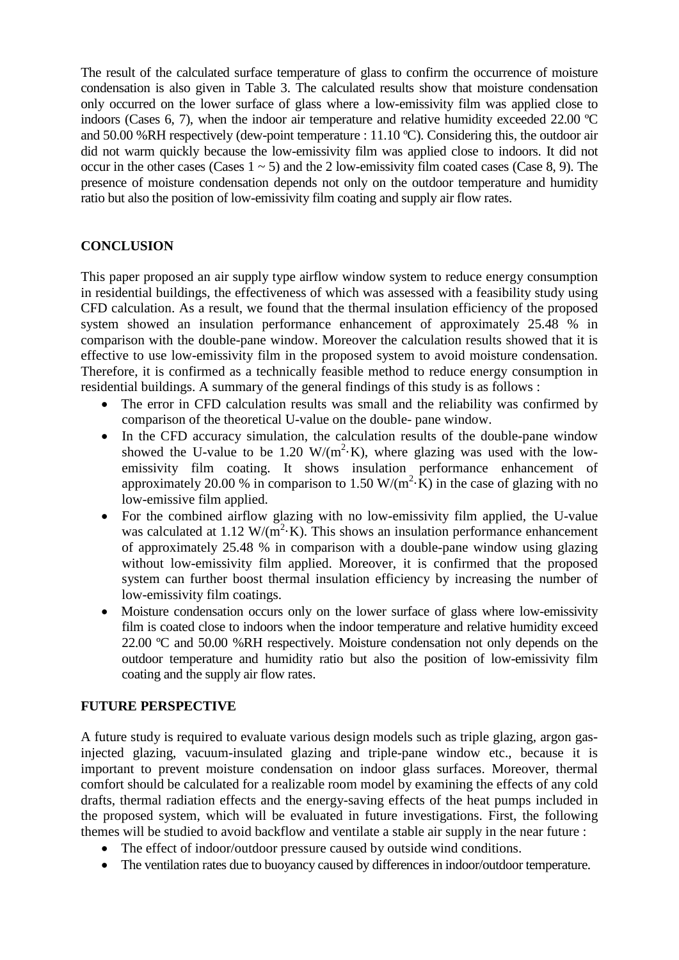The result of the calculated surface temperature of glass to confirm the occurrence of moisture condensation is also given in Table 3. The calculated results show that moisture condensation only occurred on the lower surface of glass where a low-emissivity film was applied close to indoors (Cases 6, 7), when the indoor air temperature and relative humidity exceeded 22.00 ºC and 50.00 %RH respectively (dew-point temperature : 11.10 ºC). Considering this, the outdoor air did not warm quickly because the low-emissivity film was applied close to indoors. It did not occur in the other cases (Cases  $1 \sim 5$ ) and the 2 low-emissivity film coated cases (Case 8, 9). The presence of moisture condensation depends not only on the outdoor temperature and humidity ratio but also the position of low-emissivity film coating and supply air flow rates.

# **CONCLUSION**

This paper proposed an air supply type airflow window system to reduce energy consumption in residential buildings, the effectiveness of which was assessed with a feasibility study using CFD calculation. As a result, we found that the thermal insulation efficiency of the proposed system showed an insulation performance enhancement of approximately 25.48 % in comparison with the double-pane window. Moreover the calculation results showed that it is effective to use low-emissivity film in the proposed system to avoid moisture condensation. Therefore, it is confirmed as a technically feasible method to reduce energy consumption in residential buildings. A summary of the general findings of this study is as follows :

- The error in CFD calculation results was small and the reliability was confirmed by comparison of the theoretical U-value on the double- pane window.
- In the CFD accuracy simulation, the calculation results of the double-pane window showed the U-value to be 1.20  $W/(m^2)$ . Where glazing was used with the lowemissivity film coating. It shows insulation performance enhancement of approximately 20.00 % in comparison to 1.50 W/( $m^2$ ·K) in the case of glazing with no low-emissive film applied.
- For the combined airflow glazing with no low-emissivity film applied, the U-value was calculated at 1.12 W/( $m^2$ ·K). This shows an insulation performance enhancement of approximately 25.48 % in comparison with a double-pane window using glazing without low-emissivity film applied. Moreover, it is confirmed that the proposed system can further boost thermal insulation efficiency by increasing the number of low-emissivity film coatings.
- Moisture condensation occurs only on the lower surface of glass where low-emissivity film is coated close to indoors when the indoor temperature and relative humidity exceed 22.00 ºC and 50.00 %RH respectively. Moisture condensation not only depends on the outdoor temperature and humidity ratio but also the position of low-emissivity film coating and the supply air flow rates.

# **FUTURE PERSPECTIVE**

A future study is required to evaluate various design models such as triple glazing, argon gasinjected glazing, vacuum-insulated glazing and triple-pane window etc., because it is important to prevent moisture condensation on indoor glass surfaces. Moreover, thermal comfort should be calculated for a realizable room model by examining the effects of any cold drafts, thermal radiation effects and the energy-saving effects of the heat pumps included in the proposed system, which will be evaluated in future investigations. First, the following themes will be studied to avoid backflow and ventilate a stable air supply in the near future :

- The effect of indoor/outdoor pressure caused by outside wind conditions.
- The ventilation rates due to buoyancy caused by differences in indoor/outdoor temperature.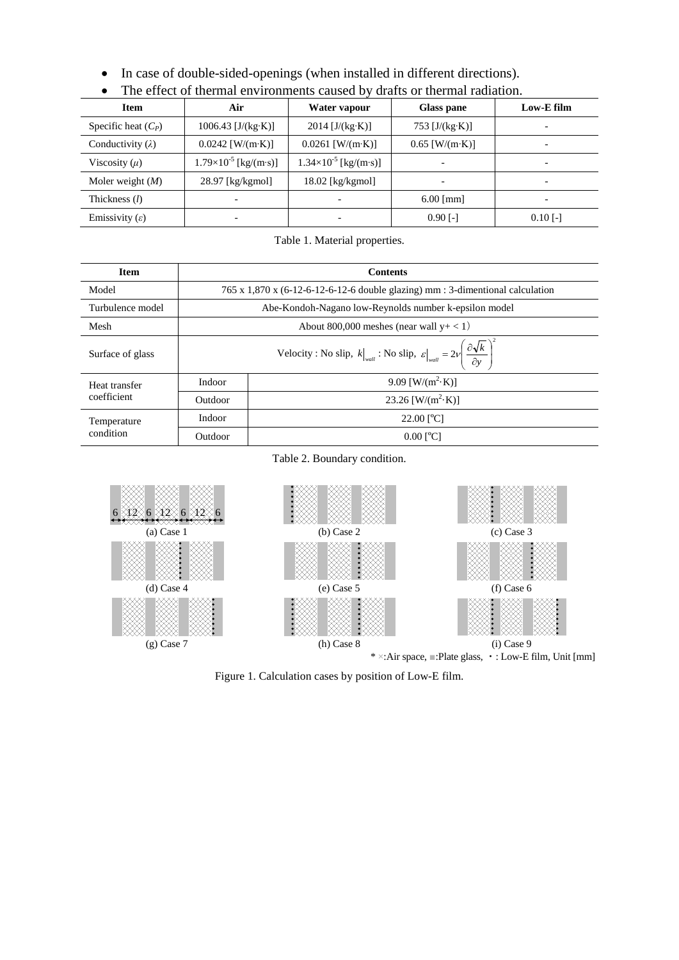• In case of double-sided-openings (when installed in different directions).

| <b>Item</b>                | Air                            | Water vapour                          | Glass pane       | Low-E film |  |
|----------------------------|--------------------------------|---------------------------------------|------------------|------------|--|
| Specific heat $(C_P)$      | $1006.43$ [J/(kg·K)]           | $2014$ [J/(kg·K)]<br>753 $[J/(kg·K)]$ |                  |            |  |
| Conductivity $(\lambda)$   | $0.0242$ [W/(m·K)]             | $0.0261$ [W/(m·K)]                    | $0.65$ [W/(m·K)] |            |  |
| Viscosity $(\mu)$          | $1.79\times10^{-5}$ [kg/(m·s)] | $1.34\times10^{-5}$ [kg/(m·s)]        |                  |            |  |
| Moler weight $(M)$         | 28.97 [kg/kgmol]               | $18.02$ [kg/kgmol]                    |                  |            |  |
| Thickness $(l)$            |                                | $\overline{\phantom{0}}$              | $6.00$ [mm]      |            |  |
| Emissivity $(\varepsilon)$ |                                | $\overline{\phantom{0}}$              | $0.90$ [-]       | $0.10$ [-] |  |

• The effect of thermal environments caused by drafts or thermal radiation.

Table 1. Material properties.

| <b>Item</b>                  | <b>Contents</b>                                                                                                                   |                           |  |  |  |  |
|------------------------------|-----------------------------------------------------------------------------------------------------------------------------------|---------------------------|--|--|--|--|
| Model                        | $765 \times 1,870 \times (6-12-6-12-6-12-6$ double glazing) mm : 3-dimentional calculation                                        |                           |  |  |  |  |
| Turbulence model             | Abe-Kondoh-Nagano low-Reynolds number k-epsilon model                                                                             |                           |  |  |  |  |
| Mesh                         | About 800,000 meshes (near wall $y+<1$ )                                                                                          |                           |  |  |  |  |
| Surface of glass             | Velocity: No slip, $k\big _{wall}$ : No slip, $\varepsilon\big _{wall} = 2\nu\left(\frac{\partial \sqrt{k}}{\partial y}\right)^2$ |                           |  |  |  |  |
| Heat transfer<br>coefficient | Indoor                                                                                                                            | 9.09 [W/( $m^2$ ·K)]      |  |  |  |  |
|                              | Outdoor                                                                                                                           | 23.26 [W/( $m^2$ ·K)]     |  |  |  |  |
| Temperature<br>condition     | Indoor                                                                                                                            | $22.00$ [ <sup>o</sup> C] |  |  |  |  |
|                              | Outdoor                                                                                                                           | $0.00$ [ <sup>o</sup> C]  |  |  |  |  |

#### Table 2. Boundary condition.



Figure 1. Calculation cases by position of Low-E film.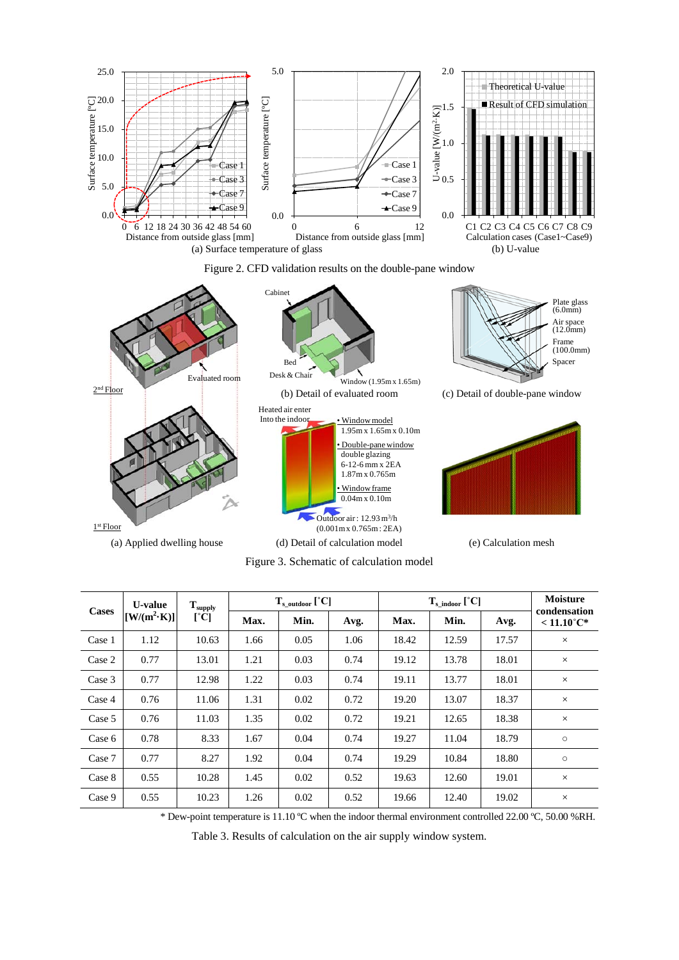





Figure 3. Schematic of calculation model

| <b>Cases</b> | <b>U-value</b><br>$[{\rm W/(m^2 \cdot K)}]$ | $\mathbf{T}_{\text{supply}}$<br>$[\mathrm{°C}]$ | $T_{\rm s \,\,\,outdoor}$ [°C] |      |      | $T_{\rm s\,\,indoor}$ [°C] |       |       | <b>Moisture</b><br>condensation |
|--------------|---------------------------------------------|-------------------------------------------------|--------------------------------|------|------|----------------------------|-------|-------|---------------------------------|
|              |                                             |                                                 | Max.                           | Min. | Avg. | Max.                       | Min.  | Avg.  | $< 11.10^{\circ}C^*$            |
| Case 1       | 1.12                                        | 10.63                                           | 1.66                           | 0.05 | 1.06 | 18.42                      | 12.59 | 17.57 | $\times$                        |
| Case 2       | 0.77                                        | 13.01                                           | 1.21                           | 0.03 | 0.74 | 19.12                      | 13.78 | 18.01 | $\times$                        |
| Case 3       | 0.77                                        | 12.98                                           | 1.22                           | 0.03 | 0.74 | 19.11                      | 13.77 | 18.01 | $\times$                        |
| Case 4       | 0.76                                        | 11.06                                           | 1.31                           | 0.02 | 0.72 | 19.20                      | 13.07 | 18.37 | $\times$                        |
| Case 5       | 0.76                                        | 11.03                                           | 1.35                           | 0.02 | 0.72 | 19.21                      | 12.65 | 18.38 | $\times$                        |
| Case 6       | 0.78                                        | 8.33                                            | 1.67                           | 0.04 | 0.74 | 19.27                      | 11.04 | 18.79 | $\circ$                         |
| Case 7       | 0.77                                        | 8.27                                            | 1.92                           | 0.04 | 0.74 | 19.29                      | 10.84 | 18.80 | $\circ$                         |
| Case 8       | 0.55                                        | 10.28                                           | 1.45                           | 0.02 | 0.52 | 19.63                      | 12.60 | 19.01 | $\times$                        |
| Case 9       | 0.55                                        | 10.23                                           | 1.26                           | 0.02 | 0.52 | 19.66                      | 12.40 | 19.02 | $\times$                        |
|              |                                             |                                                 |                                |      |      |                            |       |       |                                 |

\* Dew-point temperature is 11.10 ºC when the indoor thermal environment controlled 22.00 ºC, 50.00 %RH.

Table 3. Results of calculation on the air supply window system.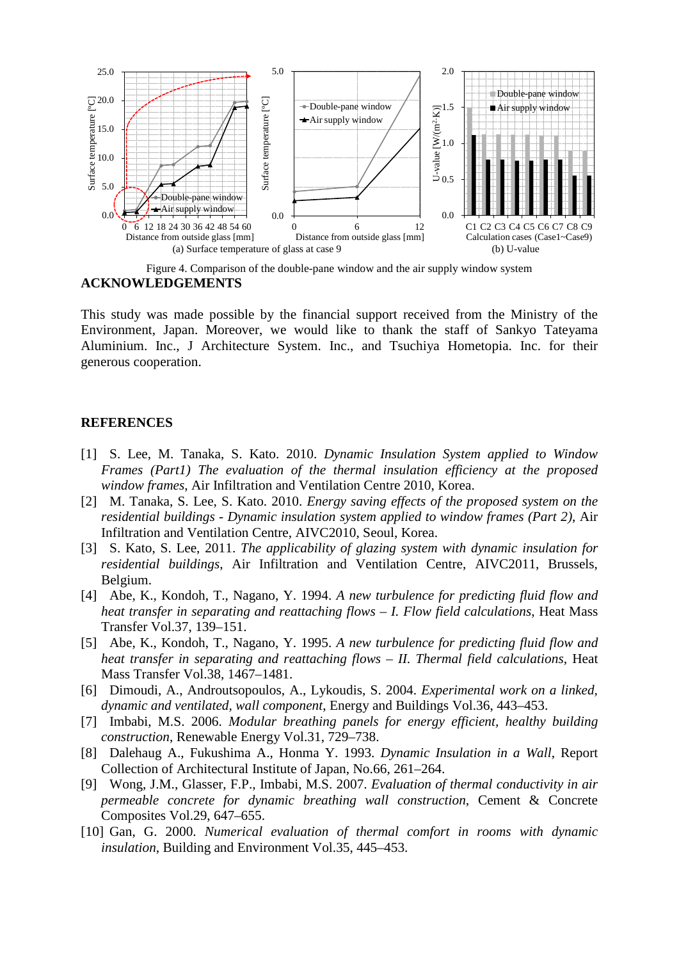

Figure 4. Comparison of the double-pane window and the air supply window system **ACKNOWLEDGEMENTS**

This study was made possible by the financial support received from the Ministry of the Environment, Japan. Moreover, we would like to thank the staff of Sankyo Tateyama Aluminium. Inc., J Architecture System. Inc., and Tsuchiya Hometopia. Inc. for their generous cooperation.

#### **REFERENCES**

- [1] S. Lee, M. Tanaka, S. Kato. 2010. *Dynamic Insulation System applied to Window Frames (Part1) The evaluation of the thermal insulation efficiency at the proposed window frames*, Air Infiltration and Ventilation Centre 2010, Korea.
- [2] M. Tanaka, S. Lee, S. Kato. 2010. *Energy saving effects of the proposed system on the residential buildings - Dynamic insulation system applied to window frames (Part 2)*, Air Infiltration and Ventilation Centre, AIVC2010, Seoul, Korea.
- [3] S. Kato, S. Lee, 2011. *The applicability of glazing system with dynamic insulation for residential buildings*, Air Infiltration and Ventilation Centre, AIVC2011, Brussels, Belgium.
- [4] Abe, K., Kondoh, T., Nagano, Y. 1994. *A new turbulence for predicting fluid flow and heat transfer in separating and reattaching flows* – *I. Flow field calculations*, Heat Mass Transfer Vol.37, 139–151.
- [5] Abe, K., Kondoh, T., Nagano, Y. 1995. *A new turbulence for predicting fluid flow and heat transfer in separating and reattaching flows* – *II. Thermal field calculations*, Heat Mass Transfer Vol.38, 1467–1481.
- [6] Dimoudi, A., Androutsopoulos, A., Lykoudis, S. 2004. *Experimental work on a linked, dynamic and ventilated, wall component*, Energy and Buildings Vol.36, 443–453.
- [7] Imbabi, M.S. 2006. *Modular breathing panels for energy efficient, healthy building construction*, Renewable Energy Vol.31, 729–738.
- [8] Dalehaug A., Fukushima A., Honma Y. 1993. *Dynamic Insulation in a Wall*, Report Collection of Architectural Institute of Japan, No.66, 261–264.
- [9] Wong, J.M., Glasser, F.P., Imbabi, M.S. 2007. *Evaluation of thermal conductivity in air permeable concrete for dynamic breathing wall construction*, Cement & Concrete Composites Vol.29, 647–655.
- [10] Gan, G. 2000. *Numerical evaluation of thermal comfort in rooms with dynamic insulation*, Building and Environment Vol.35, 445–453.